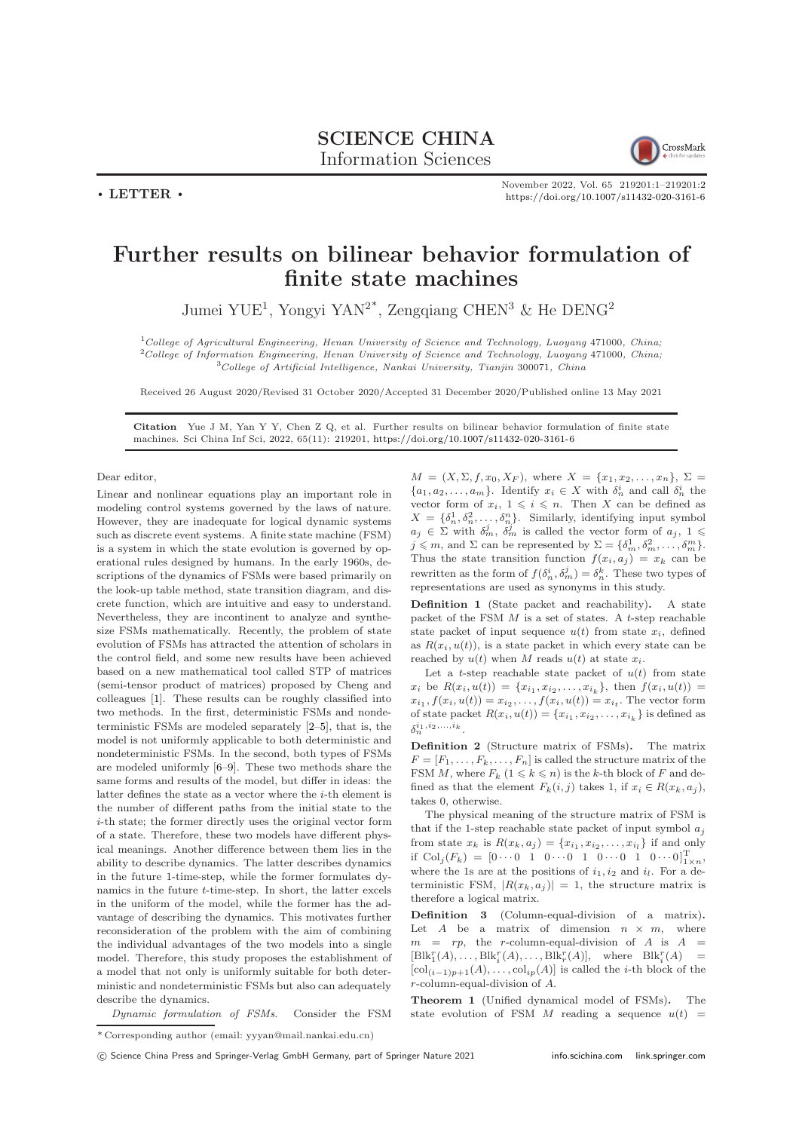## SCIENCE CHINA Information Sciences



November 2022, Vol. 65 219201:1–219201[:2](#page-1-0) <https://doi.org/10.1007/s11432-020-3161-6>

## Further results on bilinear behavior formulation of finite state machines

Jumei YUE<sup>1</sup>, Yongyi YAN<sup>2\*</sup>, Zengqiang CHEN<sup>3</sup> & He DENG<sup>2</sup>

 $1$ College of Agricultural Engineering, Henan University of Science and Technology, Luoyang 471000, China; <sup>2</sup>College of Information Engineering, Henan University of Science and Technology, Luoyang 471000, China; <sup>3</sup>College of Artificial Intelligence, Nankai University, Tianjin 300071, China

Received 26 August 2020/Revised 31 October 2020/Accepted 31 December 2020/Published online 13 May 2021

Citation Yue J M, Yan Y Y, Chen Z Q, et al. Further results on bilinear behavior formulation of finite state machines. Sci China Inf Sci, 2022, 65(11): 219201, <https://doi.org/10.1007/s11432-020-3161-6>

Dear editor,

 $\cdot$  LETTER  $\cdot$ 

Linear and nonlinear equations play an important role in modeling control systems governed by the laws of nature. However, they are inadequate for logical dynamic systems such as discrete event systems. A finite state machine (FSM) is a system in which the state evolution is governed by operational rules designed by humans. In the early 1960s, descriptions of the dynamics of FSMs were based primarily on the look-up table method, state transition diagram, and discrete function, which are intuitive and easy to understand. Nevertheless, they are incontinent to analyze and synthesize FSMs mathematically. Recently, the problem of state evolution of FSMs has attracted the attention of scholars in the control field, and some new results have been achieved based on a new mathematical tool called STP of matrices (semi-tensor product of matrices) proposed by Cheng and colleagues [\[1\]](#page-1-1). These results can be roughly classified into two methods. In the first, deterministic FSMs and nondeterministic FSMs are modeled separately [\[2](#page-1-2)[–5\]](#page-1-3), that is, the model is not uniformly applicable to both deterministic and nondeterministic FSMs. In the second, both types of FSMs are modeled uniformly [\[6–](#page-1-4)[9\]](#page-1-5). These two methods share the same forms and results of the model, but differ in ideas: the latter defines the state as a vector where the *i*-th element is the number of different paths from the initial state to the i-th state; the former directly uses the original vector form of a state. Therefore, these two models have different physical meanings. Another difference between them lies in the ability to describe dynamics. The latter describes dynamics in the future 1-time-step, while the former formulates dynamics in the future t-time-step. In short, the latter excels in the uniform of the model, while the former has the advantage of describing the dynamics. This motivates further reconsideration of the problem with the aim of combining the individual advantages of the two models into a single model. Therefore, this study proposes the establishment of a model that not only is uniformly suitable for both deterministic and nondeterministic FSMs but also can adequately describe the dynamics.

 $M = (X, \Sigma, f, x_0, X_F),$  where  $X = \{x_1, x_2, \ldots, x_n\}, \Sigma =$  $\{a_1, a_2, \ldots, a_m\}$ . Identify  $x_i \in X$  with  $\delta_n^i$  and call  $\delta_n^i$  the vector form of  $x_i, 1 \leqslant i \leqslant n$ . Then X can be defined as  $X = \{\delta_n^1, \delta_n^2, \ldots, \delta_n^n\}$ . Similarly, identifying input symbol  $a_j \in \Sigma$  with  $\delta_m^j$ ,  $\delta_m^j$  is called the vector form of  $a_j$ ,  $1 \leq$  $j \leq m$ , and  $\Sigma$  can be represented by  $\Sigma = {\delta_m^1, \delta_m^2, \ldots, \delta_m^m}$ . Thus the state transition function  $f(x_i, a_j) = x_k$  can be rewritten as the form of  $f(\delta_n^i, \delta_m^j) = \delta_n^k$ . These two types of representations are used as synonyms in this study.

Definition 1 (State packet and reachability). A state packet of the FSM  $M$  is a set of states. A  $t$ -step reachable state packet of input sequence  $u(t)$  from state  $x_i$ , defined as  $R(x_i, u(t))$ , is a state packet in which every state can be reached by  $u(t)$  when M reads  $u(t)$  at state  $x_i$ .

Let a t-step reachable state packet of  $u(t)$  from state  $x_i$  be  $R(x_i, u(t)) = \{x_{i_1}, x_{i_2}, \ldots, x_{i_k}\},$  then  $f(x_i, u(t)) =$  $x_{i_1}, f(x_i, u(t)) = x_{i_2}, \ldots, f(x_i, u(t)) = x_{i_t}$ . The vector form of state packet  $R(x_i, u(t)) = \{x_{i_1}, x_{i_2}, \ldots, x_{i_k}\}\)$  is defined as  $\delta_n^{i_1,i_2,...,i_k}$ .

Definition 2 (Structure matrix of FSMs). The matrix  $F = [F_1, \ldots, F_k, \ldots, F_n]$  is called the structure matrix of the FSM M, where  $F_k$   $(1 \le k \le n)$  is the k-th block of F and defined as that the element  $F_k(i, j)$  takes 1, if  $x_i \in R(x_k, a_j)$ , takes 0, otherwise.

The physical meaning of the structure matrix of FSM is that if the 1-step reachable state packet of input symbol  $a_i$ from state  $x_k$  is  $R(x_k, a_j) = \{x_{i_1}, x_{i_2}, \ldots, x_{i_l}\}$  if and only if  $Col_j(F_k) = [0 \cdots 0 \quad 1 \quad 0 \cdots 0 \quad 1 \quad 0 \cdots 0 \quad 1 \quad 0 \cdots 0]_{1 \times n}^T$ , where the 1s are at the positions of  $i_1, i_2$  and  $i_l$ . For a deterministic FSM,  $|R(x_k, a_j)| = 1$ , the structure matrix is therefore a logical matrix.

Definition 3 (Column-equal-division of a matrix). Let  $A$  be a matrix of dimension  $n \times m$ , where  $m = rp$ , the r-column-equal-division of A is  $A =$  $[\text{Blk}_1^r(A), \ldots, \text{Blk}_i^r(A), \ldots, \text{Blk}_r^r(A)], \text{ where } \text{Blk}_i^r(A) =$  $[\text{col}_{(i-1)p+1}(A), \ldots, \text{col}_{ip}(A)]$  is called the *i*-th block of the r-column-equal-division of A.

Theorem 1 (Unified dynamical model of FSMs). The state evolution of FSM M reading a sequence  $u(t)$  =

Dynamic formulation of FSMs. Consider the FSM

 $^\ast$  Corresponding author (email: yyyan@mail.nankai.edu.cn)